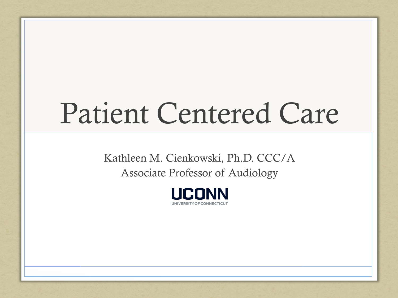# Patient Centered Care

Kathleen M. Cienkowski, Ph.D. CCC/A Associate Professor of Audiology

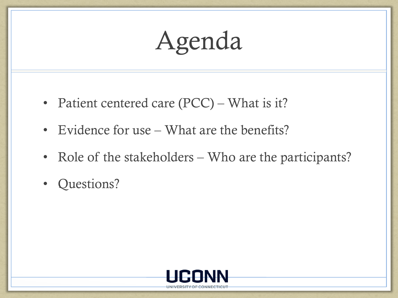# Agenda

- Patient centered care (PCC) What is it?
- Evidence for use What are the benefits?
- Role of the stakeholders Who are the participants?
- Questions?

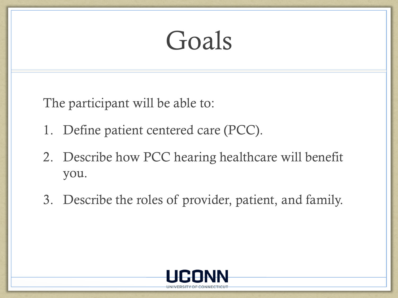### Goals

The participant will be able to:

- 1. Define patient centered care (PCC).
- 2. Describe how PCC hearing healthcare will benefit you.
- 3. Describe the roles of provider, patient, and family.

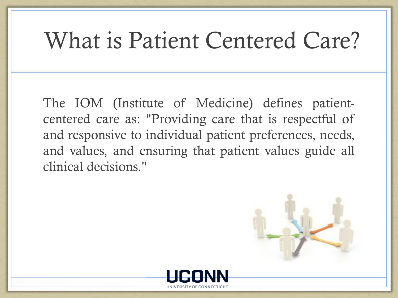#### What is Patient Centered Care?

The IOM (Institute of Medicine) defines patientcentered care as: "Providing care that is respectful of and responsive to individual patient preferences, needs, and values, and ensuring that patient values guide all clinical decisions."

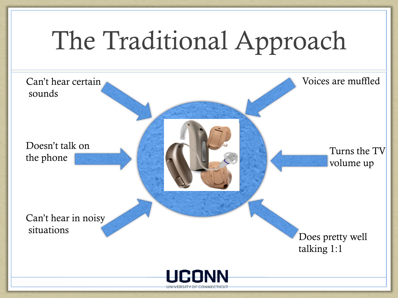

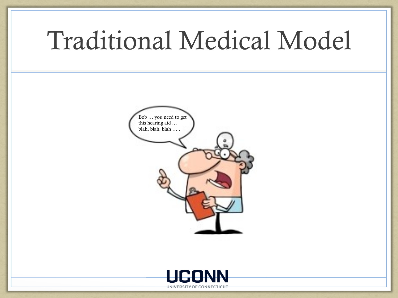#### Traditional Medical Model



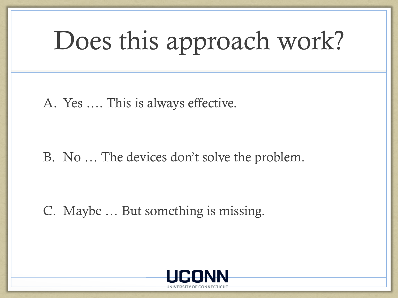## Does this approach work?

A. Yes …. This is always effective.

B. No … The devices don't solve the problem.

C. Maybe … But something is missing.

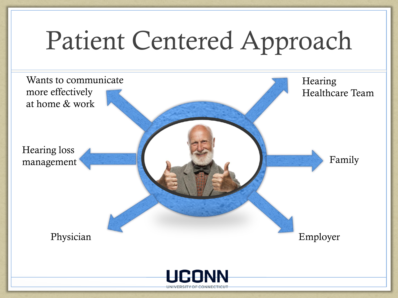### Patient Centered Approach

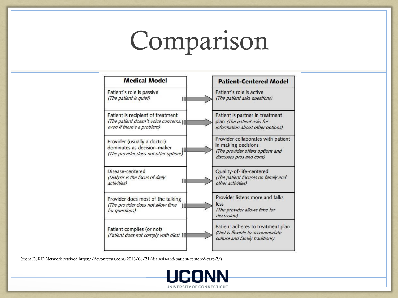# Comparison

| <b>Medical Model</b>                                                                                      | <b>Patient-Centered Model</b>                                                                                             |
|-----------------------------------------------------------------------------------------------------------|---------------------------------------------------------------------------------------------------------------------------|
| Patient's role is passive<br>(The patient is quiet)<br>O                                                  | Patient's role is active<br>(The patient asks questions)                                                                  |
| Patient is recipient of treatment<br>(The patient doesn't voice concerns,<br>even if there's a problem)   | Patient is partner in treatment<br>plan (The patient asks for<br>information about other options)                         |
| Provider (usually a doctor)<br>dominates as decision-maker<br>18<br>(The provider does not offer options) | Provider collaborates with patient<br>in making decisions<br>(The provider offers options and<br>discusses pros and cons) |
| Disease-centered<br>(Dialysis is the focus of daily<br>旧<br>activities)                                   | Quality-of-life-centered<br>(The patient focuses on family and<br>other activities)                                       |
| Provider does most of the talking<br>(The provider does not allow time<br>m<br>for questions)             | Provider listens more and talks<br>less<br>(The provider allows time for<br>discussion)                                   |
| Patient complies (or not)<br>(Patient does not comply with diet)                                          | Patient adheres to treatment plan<br>(Diet is flexible to accommodate<br>culture and family traditions)                   |

(from ESRD Network retrived https://devontexas.com/2013/08/21/dialysis-and-patient-centered-care-2/)

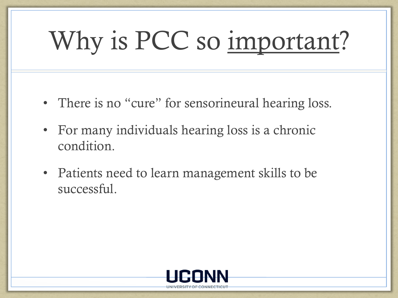# Why is PCC so important?

- There is no "cure" for sensorineural hearing loss.
- For many individuals hearing loss is a chronic condition.
- Patients need to learn management skills to be successful.

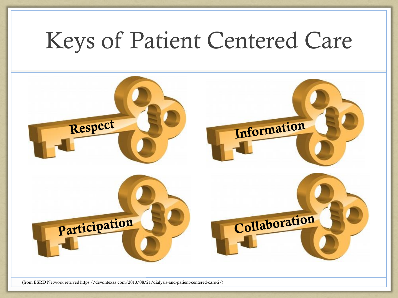#### Keys of Patient Centered Care



(from ESRD Network retrived https://devontexas.com/2013/08/21/dialysis-and-patient-centered-care-2/)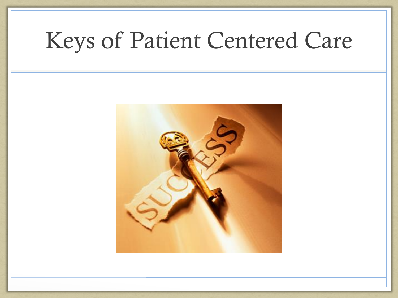#### Keys of Patient Centered Care

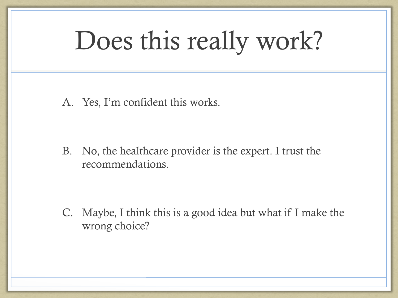### Does this really work?

A. Yes, I'm confident this works.

B. No, the healthcare provider is the expert. I trust the recommendations.

C. Maybe, I think this is a good idea but what if I make the wrong choice?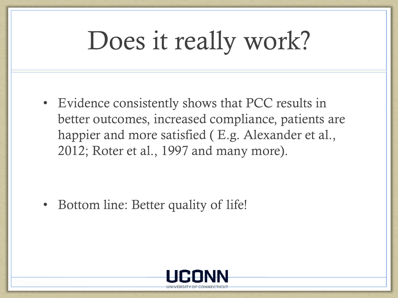### Does it really work?

• Evidence consistently shows that PCC results in better outcomes, increased compliance, patients are happier and more satisfied ( E.g. Alexander et al., 2012; Roter et al., 1997 and many more).

• Bottom line: Better quality of life!

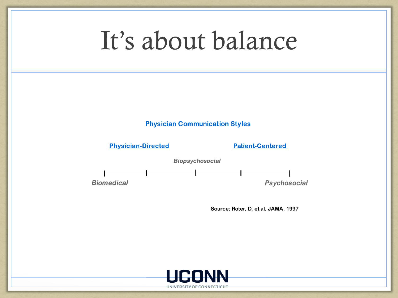#### It's about balance





**Patient-Centered** 



Source: Roter, D. et al. JAMA. 1997

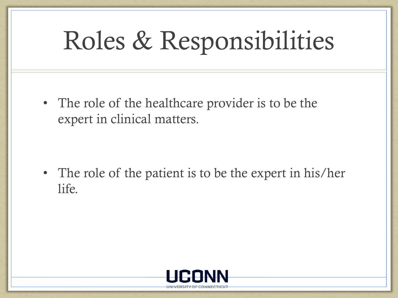## Roles & Responsibilities

• The role of the healthcare provider is to be the expert in clinical matters.

• The role of the patient is to be the expert in his/her life.

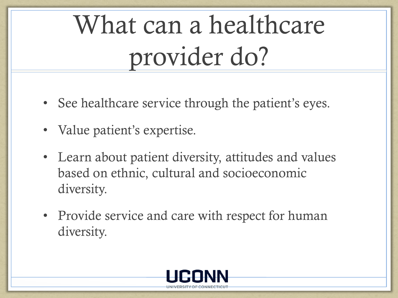# What can a healthcare provider do?

- See healthcare service through the patient's eyes.
- Value patient's expertise.
- Learn about patient diversity, attitudes and values based on ethnic, cultural and socioeconomic diversity.
- Provide service and care with respect for human diversity.

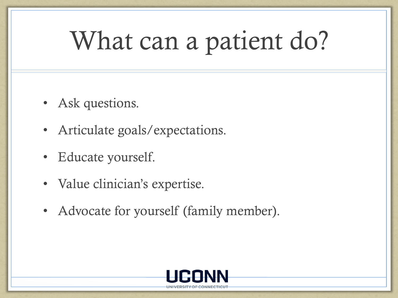# What can a patient do?

- Ask questions.
- Articulate goals/expectations.
- Educate yourself.
- Value clinician's expertise.
- Advocate for yourself (family member).

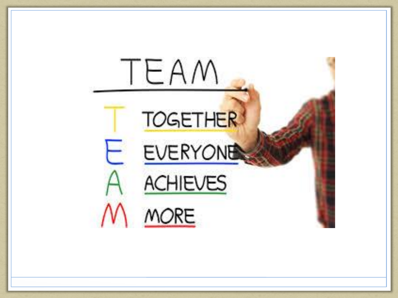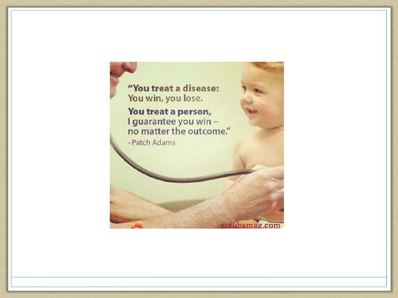